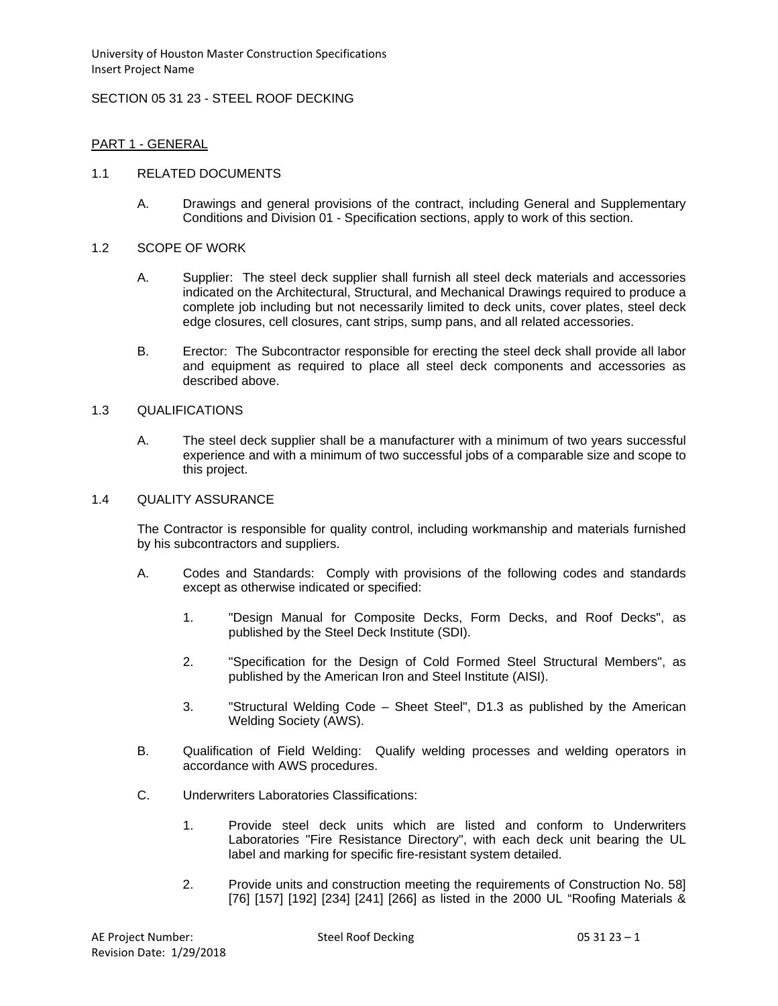University of Houston Master Construction Specifications Insert Project Name

### SECTION 05 31 23 - STEEL ROOF DECKING

### PART 1 - GENERAL

### 1.1 RELATED DOCUMENTS

A. Drawings and general provisions of the contract, including General and Supplementary Conditions and Division 01 - Specification sections, apply to work of this section.

#### 1.2 SCOPE OF WORK

- A. Supplier: The steel deck supplier shall furnish all steel deck materials and accessories indicated on the Architectural, Structural, and Mechanical Drawings required to produce a complete job including but not necessarily limited to deck units, cover plates, steel deck edge closures, cell closures, cant strips, sump pans, and all related accessories.
- B. Erector: The Subcontractor responsible for erecting the steel deck shall provide all labor and equipment as required to place all steel deck components and accessories as described above.

#### 1.3 QUALIFICATIONS

A. The steel deck supplier shall be a manufacturer with a minimum of two years successful experience and with a minimum of two successful jobs of a comparable size and scope to this project.

#### 1.4 QUALITY ASSURANCE

The Contractor is responsible for quality control, including workmanship and materials furnished by his subcontractors and suppliers.

- A. Codes and Standards: Comply with provisions of the following codes and standards except as otherwise indicated or specified:
	- 1. "Design Manual for Composite Decks, Form Decks, and Roof Decks", as published by the Steel Deck Institute (SDI).
	- 2. "Specification for the Design of Cold Formed Steel Structural Members", as published by the American Iron and Steel Institute (AISI).
	- 3. "Structural Welding Code Sheet Steel", D1.3 as published by the American Welding Society (AWS).
- B. Qualification of Field Welding: Qualify welding processes and welding operators in accordance with AWS procedures.
- C. Underwriters Laboratories Classifications:
	- 1. Provide steel deck units which are listed and conform to Underwriters Laboratories "Fire Resistance Directory", with each deck unit bearing the UL label and marking for specific fire-resistant system detailed.
	- 2. Provide units and construction meeting the requirements of Construction No. 58] [76] [157] [192] [234] [241] [266] as listed in the 2000 UL "Roofing Materials &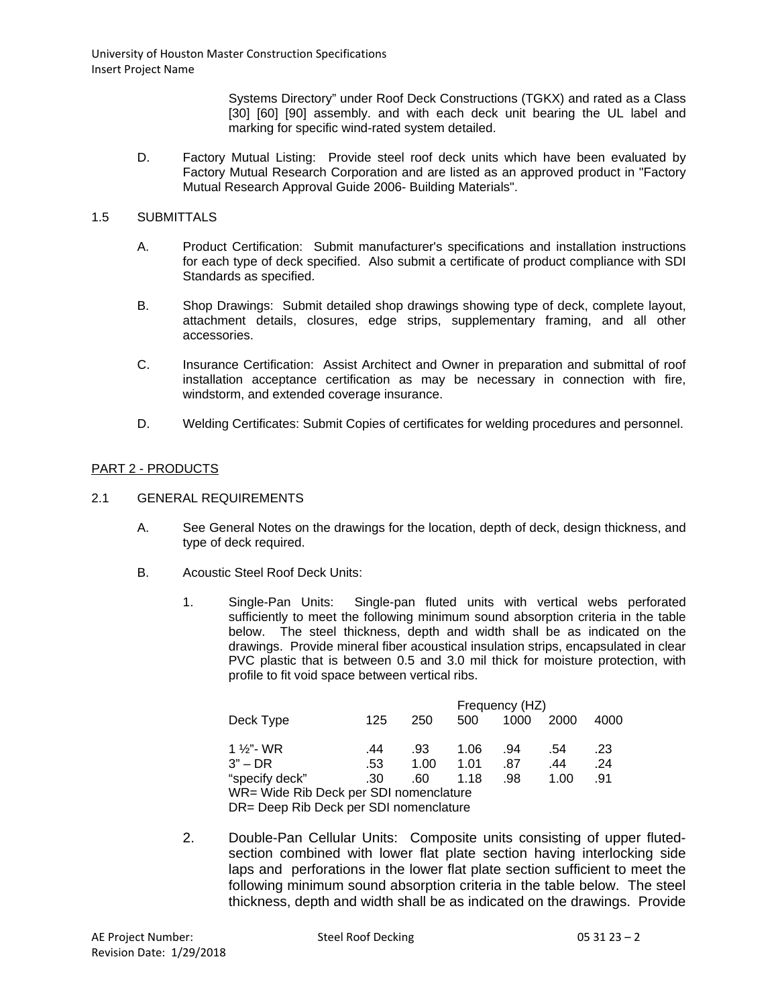University of Houston Master Construction Specifications Insert Project Name

> Systems Directory" under Roof Deck Constructions (TGKX) and rated as a Class [30] [60] [90] assembly. and with each deck unit bearing the UL label and marking for specific wind-rated system detailed.

D. Factory Mutual Listing: Provide steel roof deck units which have been evaluated by Factory Mutual Research Corporation and are listed as an approved product in "Factory Mutual Research Approval Guide 2006- Building Materials".

# 1.5 SUBMITTALS

- A. Product Certification: Submit manufacturer's specifications and installation instructions for each type of deck specified. Also submit a certificate of product compliance with SDI Standards as specified.
- B. Shop Drawings: Submit detailed shop drawings showing type of deck, complete layout, attachment details, closures, edge strips, supplementary framing, and all other accessories.
- C. Insurance Certification: Assist Architect and Owner in preparation and submittal of roof installation acceptance certification as may be necessary in connection with fire, windstorm, and extended coverage insurance.
- D. Welding Certificates: Submit Copies of certificates for welding procedures and personnel.

# PART 2 - PRODUCTS

### 2.1 GENERAL REQUIREMENTS

- A. See General Notes on the drawings for the location, depth of deck, design thickness, and type of deck required.
- B. Acoustic Steel Roof Deck Units:
	- 1. Single-Pan Units: Single-pan fluted units with vertical webs perforated sufficiently to meet the following minimum sound absorption criteria in the table below. The steel thickness, depth and width shall be as indicated on the drawings. Provide mineral fiber acoustical insulation strips, encapsulated in clear PVC plastic that is between 0.5 and 3.0 mil thick for moisture protection, with profile to fit void space between vertical ribs.

|                                        |     |      | Frequency (HZ) |      |      |      |  |  |
|----------------------------------------|-----|------|----------------|------|------|------|--|--|
| Deck Type                              | 125 | 250  | 500            | 1000 | 2000 | 4000 |  |  |
|                                        |     |      |                |      |      |      |  |  |
| 1 ½"- WR                               | .44 | .93  | 1.06           | .94  | .54  | .23  |  |  |
| $3"$ – DR                              | .53 | 1.00 | 1.01           | .87  | .44  | .24  |  |  |
| "specify deck"                         | .30 | .60  | 1.18           | .98  | 1.00 | .91  |  |  |
| WR= Wide Rib Deck per SDI nomenclature |     |      |                |      |      |      |  |  |
| DR= Deep Rib Deck per SDI nomenclature |     |      |                |      |      |      |  |  |

2. Double-Pan Cellular Units: Composite units consisting of upper flutedsection combined with lower flat plate section having interlocking side laps and perforations in the lower flat plate section sufficient to meet the following minimum sound absorption criteria in the table below. The steel thickness, depth and width shall be as indicated on the drawings. Provide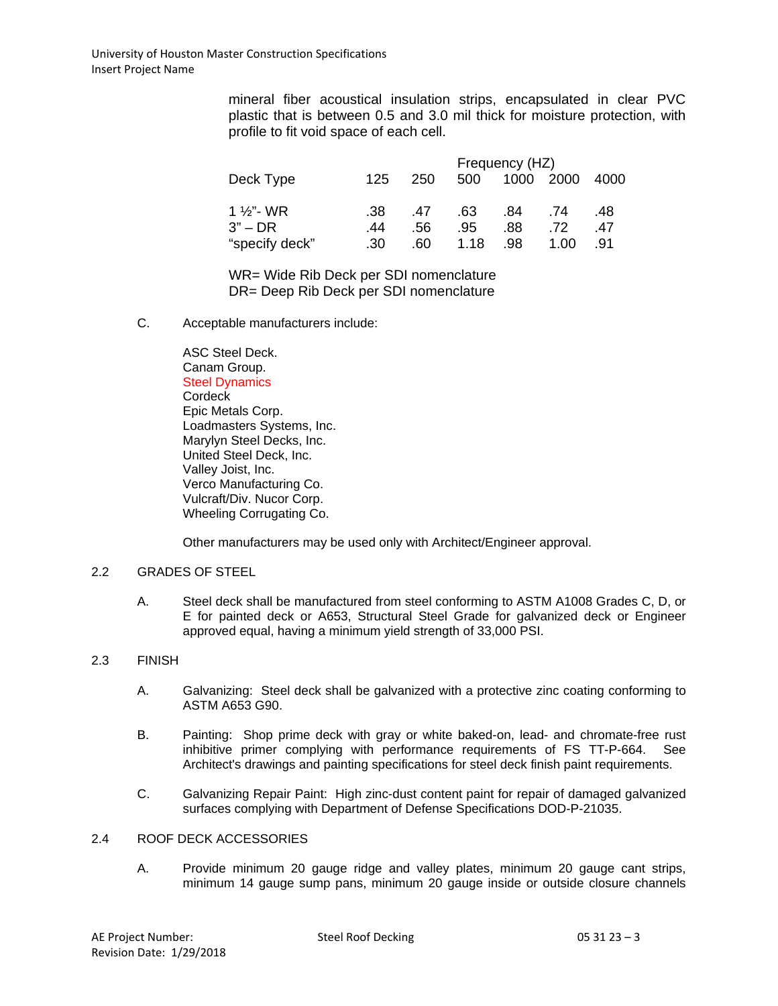mineral fiber acoustical insulation strips, encapsulated in clear PVC plastic that is between 0.5 and 3.0 mil thick for moisture protection, with profile to fit void space of each cell.

| Deck Type      |     | Frequency (HZ) |      |      |      |      |  |  |
|----------------|-----|----------------|------|------|------|------|--|--|
|                | 125 | 250            | 500  | 1000 | 2000 | 4000 |  |  |
|                |     |                |      |      |      |      |  |  |
| 1 1⁄2"- WR     | .38 | .47            | .63  | .84  | .74  | .48  |  |  |
| $3"$ – DR      | .44 | .56            | .95  | .88. | .72  | .47  |  |  |
| "specify deck" | .30 | .60            | 1.18 | .98  | 1.00 | .91  |  |  |

WR= Wide Rib Deck per SDI nomenclature DR= Deep Rib Deck per SDI nomenclature

C. Acceptable manufacturers include:

ASC Steel Deck. Canam Group. Steel Dynamics **Cordeck** Epic Metals Corp. Loadmasters Systems, Inc. Marylyn Steel Decks, Inc. United Steel Deck, Inc. Valley Joist, Inc. Verco Manufacturing Co. Vulcraft/Div. Nucor Corp. Wheeling Corrugating Co.

Other manufacturers may be used only with Architect/Engineer approval.

# 2.2 GRADES OF STEEL

A. Steel deck shall be manufactured from steel conforming to ASTM A1008 Grades C, D, or E for painted deck or A653, Structural Steel Grade for galvanized deck or Engineer approved equal, having a minimum yield strength of 33,000 PSI.

### 2.3 FINISH

- A. Galvanizing: Steel deck shall be galvanized with a protective zinc coating conforming to ASTM A653 G90.
- B. Painting: Shop prime deck with gray or white baked-on, lead- and chromate-free rust inhibitive primer complying with performance requirements of FS TT-P-664. See Architect's drawings and painting specifications for steel deck finish paint requirements.
- C. Galvanizing Repair Paint: High zinc-dust content paint for repair of damaged galvanized surfaces complying with Department of Defense Specifications DOD-P-21035.

# 2.4 ROOF DECK ACCESSORIES

A. Provide minimum 20 gauge ridge and valley plates, minimum 20 gauge cant strips, minimum 14 gauge sump pans, minimum 20 gauge inside or outside closure channels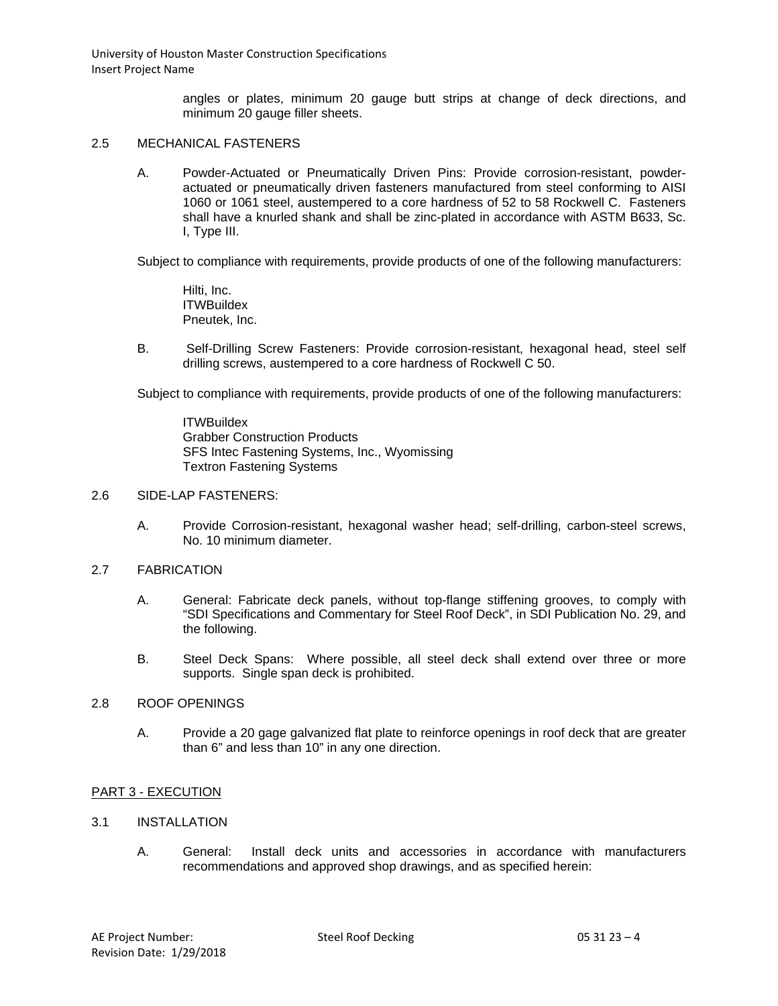University of Houston Master Construction Specifications Insert Project Name

> angles or plates, minimum 20 gauge butt strips at change of deck directions, and minimum 20 gauge filler sheets.

# 2.5 MECHANICAL FASTENERS

A. Powder-Actuated or Pneumatically Driven Pins: Provide corrosion-resistant, powderactuated or pneumatically driven fasteners manufactured from steel conforming to AISI 1060 or 1061 steel, austempered to a core hardness of 52 to 58 Rockwell C. Fasteners shall have a knurled shank and shall be zinc-plated in accordance with ASTM B633, Sc. I, Type III.

Subject to compliance with requirements, provide products of one of the following manufacturers:

Hilti, Inc. **ITWBuildex** Pneutek, Inc.

B. Self-Drilling Screw Fasteners: Provide corrosion-resistant, hexagonal head, steel self drilling screws, austempered to a core hardness of Rockwell C 50.

Subject to compliance with requirements, provide products of one of the following manufacturers:

**ITWBuildex** Grabber Construction Products SFS Intec Fastening Systems, Inc., Wyomissing Textron Fastening Systems

#### 2.6 SIDE-LAP FASTENERS:

A. Provide Corrosion-resistant, hexagonal washer head; self-drilling, carbon-steel screws, No. 10 minimum diameter.

### 2.7 FABRICATION

- A. General: Fabricate deck panels, without top-flange stiffening grooves, to comply with "SDI Specifications and Commentary for Steel Roof Deck", in SDI Publication No. 29, and the following.
- B. Steel Deck Spans: Where possible, all steel deck shall extend over three or more supports. Single span deck is prohibited.

### 2.8 ROOF OPENINGS

A. Provide a 20 gage galvanized flat plate to reinforce openings in roof deck that are greater than 6" and less than 10" in any one direction.

### PART 3 - EXECUTION

### 3.1 INSTALLATION

A. General: Install deck units and accessories in accordance with manufacturers recommendations and approved shop drawings, and as specified herein: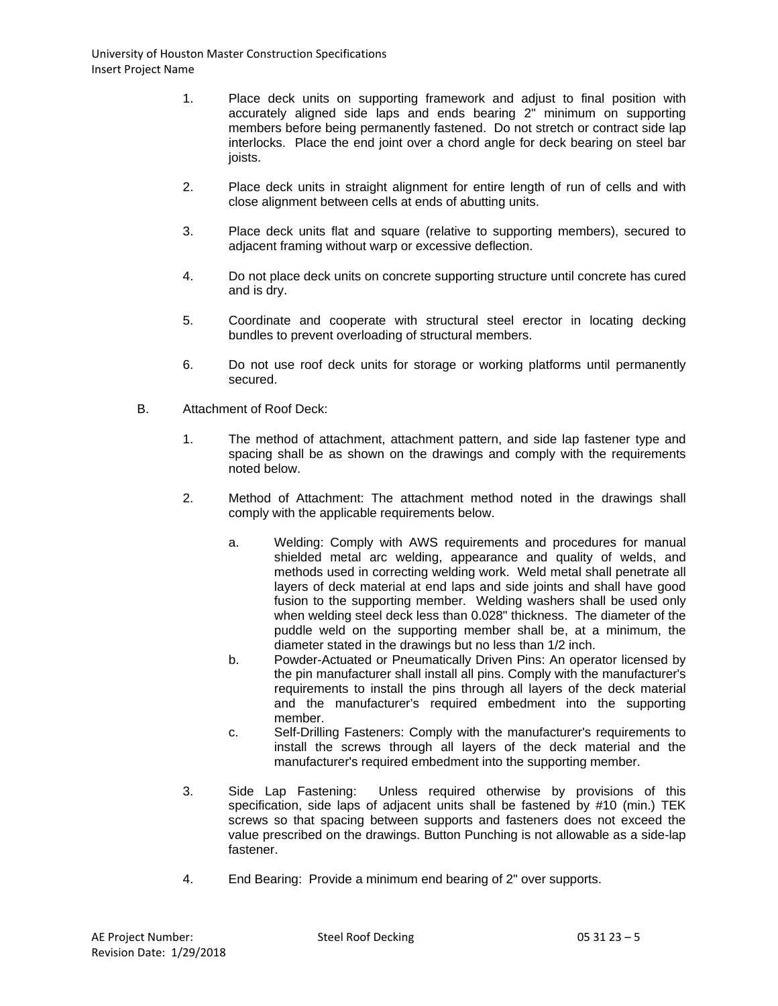- 1. Place deck units on supporting framework and adjust to final position with accurately aligned side laps and ends bearing 2" minimum on supporting members before being permanently fastened. Do not stretch or contract side lap interlocks. Place the end joint over a chord angle for deck bearing on steel bar joists.
- 2. Place deck units in straight alignment for entire length of run of cells and with close alignment between cells at ends of abutting units.
- 3. Place deck units flat and square (relative to supporting members), secured to adjacent framing without warp or excessive deflection.
- 4. Do not place deck units on concrete supporting structure until concrete has cured and is dry.
- 5. Coordinate and cooperate with structural steel erector in locating decking bundles to prevent overloading of structural members.
- 6. Do not use roof deck units for storage or working platforms until permanently secured.
- B. Attachment of Roof Deck:
	- 1. The method of attachment, attachment pattern, and side lap fastener type and spacing shall be as shown on the drawings and comply with the requirements noted below.
	- 2. Method of Attachment: The attachment method noted in the drawings shall comply with the applicable requirements below.
		- a. Welding: Comply with AWS requirements and procedures for manual shielded metal arc welding, appearance and quality of welds, and methods used in correcting welding work. Weld metal shall penetrate all layers of deck material at end laps and side joints and shall have good fusion to the supporting member. Welding washers shall be used only when welding steel deck less than 0.028" thickness. The diameter of the puddle weld on the supporting member shall be, at a minimum, the diameter stated in the drawings but no less than 1/2 inch.
		- b. Powder-Actuated or Pneumatically Driven Pins: An operator licensed by the pin manufacturer shall install all pins. Comply with the manufacturer's requirements to install the pins through all layers of the deck material and the manufacturer's required embedment into the supporting member.
		- c. Self-Drilling Fasteners: Comply with the manufacturer's requirements to install the screws through all layers of the deck material and the manufacturer's required embedment into the supporting member.
	- 3. Side Lap Fastening: Unless required otherwise by provisions of this specification, side laps of adjacent units shall be fastened by #10 (min.) TEK screws so that spacing between supports and fasteners does not exceed the value prescribed on the drawings. Button Punching is not allowable as a side-lap fastener.
	- 4. End Bearing: Provide a minimum end bearing of 2" over supports.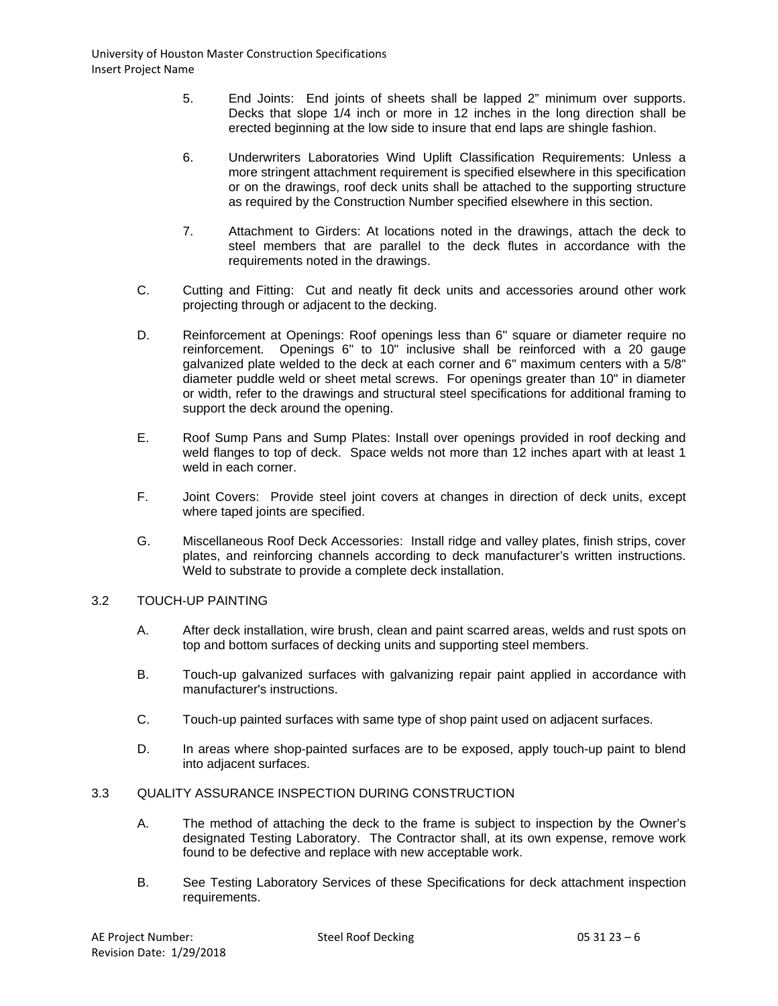- 5. End Joints: End joints of sheets shall be lapped 2" minimum over supports. Decks that slope 1/4 inch or more in 12 inches in the long direction shall be erected beginning at the low side to insure that end laps are shingle fashion.
- 6. Underwriters Laboratories Wind Uplift Classification Requirements: Unless a more stringent attachment requirement is specified elsewhere in this specification or on the drawings, roof deck units shall be attached to the supporting structure as required by the Construction Number specified elsewhere in this section.
- 7. Attachment to Girders: At locations noted in the drawings, attach the deck to steel members that are parallel to the deck flutes in accordance with the requirements noted in the drawings.
- C. Cutting and Fitting: Cut and neatly fit deck units and accessories around other work projecting through or adjacent to the decking.
- D. Reinforcement at Openings: Roof openings less than 6" square or diameter require no reinforcement. Openings 6" to 10" inclusive shall be reinforced with a 20 gauge galvanized plate welded to the deck at each corner and 6" maximum centers with a 5/8" diameter puddle weld or sheet metal screws. For openings greater than 10" in diameter or width, refer to the drawings and structural steel specifications for additional framing to support the deck around the opening.
- E. Roof Sump Pans and Sump Plates: Install over openings provided in roof decking and weld flanges to top of deck. Space welds not more than 12 inches apart with at least 1 weld in each corner.
- F. Joint Covers: Provide steel joint covers at changes in direction of deck units, except where taped joints are specified.
- G. Miscellaneous Roof Deck Accessories: Install ridge and valley plates, finish strips, cover plates, and reinforcing channels according to deck manufacturer's written instructions. Weld to substrate to provide a complete deck installation.

# 3.2 TOUCH-UP PAINTING

- A. After deck installation, wire brush, clean and paint scarred areas, welds and rust spots on top and bottom surfaces of decking units and supporting steel members.
- B. Touch-up galvanized surfaces with galvanizing repair paint applied in accordance with manufacturer's instructions.
- C. Touch-up painted surfaces with same type of shop paint used on adjacent surfaces.
- D. In areas where shop-painted surfaces are to be exposed, apply touch-up paint to blend into adjacent surfaces.

### 3.3 QUALITY ASSURANCE INSPECTION DURING CONSTRUCTION

- A. The method of attaching the deck to the frame is subject to inspection by the Owner's designated Testing Laboratory. The Contractor shall, at its own expense, remove work found to be defective and replace with new acceptable work.
- B. See Testing Laboratory Services of these Specifications for deck attachment inspection requirements.